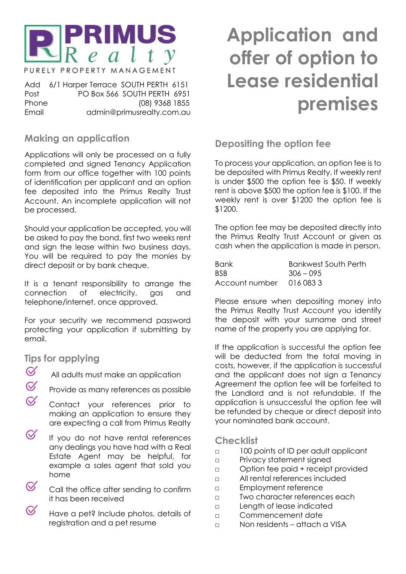

PURELY PROPERTY MANAGEMENT

Add 6/1 Harper Terrace SOUTH PERTH 6151 Post PO Box 566 SOUTH PERTH 6951 Phone (08) 9368 1855 Email admin@primusrealty.com.au

# **Making an application**

Applications will only be processed on a fully completed and signed Tenancy Application form from our office together with 100 points of identification per applicant and an option fee deposited into the Primus Realty Trust Account. An incomplete application will not be processed.

Should your application be accepted, you will be asked to pay the bond, first two weeks rent and sign the lease within two business days. You will be required to pay the monies by direct deposit or by bank cheque.

It is a tenant responsibility to arrange the connection of electricity, gas and telephone/internet, once approved.

For your security we recommend password protecting your application if submitting by email.

### **Tips for applying**

- $\varnothing$ All adults must make an application
- $\varnothing$ Provide as many references as possible
- $\alpha$ Contact your references prior to making an application to ensure they are expecting a call from Primus Realty
- ∅ If you do not have rental references any dealings you have had with a Real Estate Agent may be helpful, for example a sales agent that sold you home
- $\varnothing$ Call the office after sending to confirm it has been received
- ≪ Have a pet? Include photos, details of registration and a pet resume

# **Application and offer of option to Lease residential premises**

# **Depositing the option fee**

To process your application, an option fee is to be deposited with Primus Realty. If weekly rent is under \$500 the option fee is \$50. If weekly rent is above \$500 the option fee is \$100. If the weekly rent is over \$1200 the option fee is \$1200.

The option fee may be deposited directly into the Primus Realty Trust Account or given as cash when the application is made in person.

| <b>Bank</b>             | Bankwest South Perth |
|-------------------------|----------------------|
| BSB.                    | $306 - 095$          |
| Account number 016 0833 |                      |

Please ensure when depositing money into the Primus Realty Trust Account you identify the deposit with your surname and street name of the property you are applying for.

If the application is successful the option fee will be deducted from the total moving in costs, however, if the application is successful and the applicant does not sign a Tenancy Agreement the option fee will be forfeited to the Landlord and is not refundable. If the application is unsuccessful the option fee will be refunded by cheque or direct deposit into your nominated bank account.

### **Checklist**

- □ 100 points of ID per adult applicant
- □ Privacy statement signed
- □ Option fee paid + receipt provided
- □ All rental references included
- □ Employment reference
- □ Two character references each
- □ Length of lease indicated
- □ Commencement date
- □ Non residents attach a VISA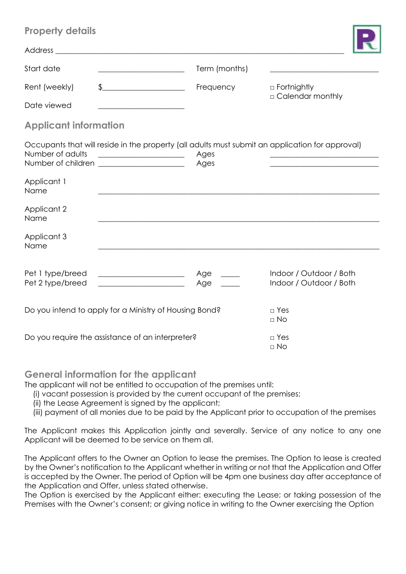| <b>Property details</b>              |                                                                                                                                                                                                                                                                        |               |                                                    |
|--------------------------------------|------------------------------------------------------------------------------------------------------------------------------------------------------------------------------------------------------------------------------------------------------------------------|---------------|----------------------------------------------------|
|                                      | Address and the contract of the contract of the contract of the contract of the contract of the contract of the contract of the contract of the contract of the contract of the contract of the contract of the contract of th                                         |               |                                                    |
| Start date                           | <u> 1989 - Johann Barn, mars ar breithinn ar breithinn ar breithinn ar breithinn ar breithinn ar breithinn ar br</u>                                                                                                                                                   | Term (months) |                                                    |
| Rent (weekly)                        | $\begin{array}{c} \updownarrow \\ \downarrow \end{array}$                                                                                                                                                                                                              | Frequency     | □ Fortnightly<br>□ Calendar monthly                |
| Date viewed                          |                                                                                                                                                                                                                                                                        |               |                                                    |
| <b>Applicant information</b>         |                                                                                                                                                                                                                                                                        |               |                                                    |
| Number of adults                     | Occupants that will reside in the property (all adults must submit an application for approval)<br><u> Alexandria de la contexta de la contexta de la contexta de la contexta de la contexta de la contexta de la c</u><br>Number of children ________________________ | Ages<br>Ages  |                                                    |
| Applicant 1<br>Name                  |                                                                                                                                                                                                                                                                        |               |                                                    |
| Applicant 2<br>Name                  |                                                                                                                                                                                                                                                                        |               |                                                    |
| Applicant 3<br>Name                  |                                                                                                                                                                                                                                                                        |               |                                                    |
| Pet 1 type/breed<br>Pet 2 type/breed | <u> 1980 - Johann Barbara, martin a</u>                                                                                                                                                                                                                                | Age<br>Age    | Indoor / Outdoor / Both<br>Indoor / Outdoor / Both |
|                                      | Do you intend to apply for a Ministry of Housing Bond?                                                                                                                                                                                                                 |               | $\Box$ Yes<br>$\Box$ No                            |
|                                      | Do you require the assistance of an interpreter?                                                                                                                                                                                                                       |               | $\Box$ Yes<br>$\Box$ No                            |

### **General information for the applicant**

The applicant will not be entitled to occupation of the premises until:

- (i) vacant possession is provided by the current occupant of the premises;
- (ii) the Lease Agreement is signed by the applicant;
- (iii) payment of all monies due to be paid by the Applicant prior to occupation of the premises

The Applicant makes this Application jointly and severally. Service of any notice to any one Applicant will be deemed to be service on them all.

The Applicant offers to the Owner an Option to lease the premises. The Option to lease is created by the Owner's notification to the Applicant whether in writing or not that the Application and Offer is accepted by the Owner. The period of Option will be 4pm one business day after acceptance of the Application and Offer, unless stated otherwise.

The Option is exercised by the Applicant either: executing the Lease; or taking possession of the Premises with the Owner's consent; or giving notice in writing to the Owner exercising the Option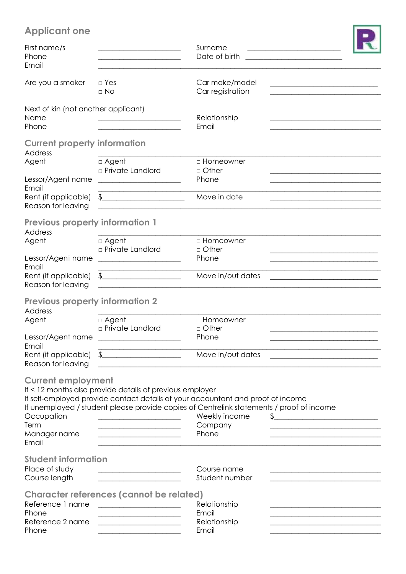# **Applicant one**

| <b>Applicant one</b>                                                                   |                                                                                                                                                                                                                                                                                                             |                                                |                                                                            |
|----------------------------------------------------------------------------------------|-------------------------------------------------------------------------------------------------------------------------------------------------------------------------------------------------------------------------------------------------------------------------------------------------------------|------------------------------------------------|----------------------------------------------------------------------------|
| First name/s<br>Phone<br>Email                                                         | <u> 2000 - Jan James James Jan James James Jan James James Jan James James Jan James James Jan Jan James James Ja</u>                                                                                                                                                                                       | Surname<br>Date of birth                       | the control of the control of the control of the control of the control of |
| Are you a smoker                                                                       | $\Box$ Yes<br>$\Box$ No                                                                                                                                                                                                                                                                                     | Car make/model<br>Car registration             |                                                                            |
| Next of kin (not another applicant)<br>Name<br>Phone                                   |                                                                                                                                                                                                                                                                                                             | Relationship<br>Email                          |                                                                            |
| <b>Current property information</b><br><b>Address</b><br>Agent                         | $\Box$ Agent                                                                                                                                                                                                                                                                                                | □ Homeowner                                    |                                                                            |
| Lessor/Agent name                                                                      | □ Private Landlord                                                                                                                                                                                                                                                                                          | $\Box$ Other<br>Phone                          |                                                                            |
| Email<br>Rent (if applicable)<br>Reason for leaving                                    | $\frac{1}{2}$                                                                                                                                                                                                                                                                                               | Move in date                                   |                                                                            |
| <b>Previous property information 1</b><br><b>Address</b><br>Agent                      | $\Box$ Agent                                                                                                                                                                                                                                                                                                | □ Homeowner                                    |                                                                            |
| Lessor/Agent name                                                                      | <b>p</b> Private Landlord<br><u> 1989 - Johann Harry Harry Harry Harry Harry Harry Harry Harry Harry Harry Harry Harry Harry Harry Harry Harry Harry Harry Harry Harry Harry Harry Harry Harry Harry Harry Harry Harry Harry Harry Harry Harry Harry Harry Ha</u>                                           | $\Box$ Other<br>Phone                          |                                                                            |
| Email<br>Rent (if applicable)<br>Reason for leaving                                    | $\frac{1}{2}$                                                                                                                                                                                                                                                                                               | Move in/out dates                              |                                                                            |
| <b>Previous property information 2</b><br><b>Address</b><br>Agent<br>Lessor/Agent name | $\Box$ Agent<br>$\Box$ Private Landlord                                                                                                                                                                                                                                                                     | □ Homeowner<br>$\Box$ Other<br>Phone           |                                                                            |
| Email<br>Rent (if applicable)<br>Reason for leaving                                    | <u> 1989 - Johann John Stone, mensk politik (d. 1989)</u><br>$\oint$                                                                                                                                                                                                                                        | Move in/out dates                              |                                                                            |
| <b>Current employment</b><br>Occupation<br>Term<br>Manager name<br>Email               | If < 12 months also provide details of previous employer<br>If self-employed provide contact details of your accountant and proof of income<br>If unemployed / student please provide copies of Centrelink statements / proof of income<br><u> 1989 - Jan James James, martin amerikan bahasa (j. 1918)</u> | Weekly income<br>Company<br>Phone              | $\frac{1}{2}$                                                              |
| <b>Student information</b><br>Place of study<br>Course length                          | <u> 1989 - Johann John Stone, mensk politik (</u>                                                                                                                                                                                                                                                           | Course name<br>Student number                  |                                                                            |
| Reference 1 name<br>Phone<br>Reference 2 name<br>Phone                                 | Character references (cannot be related)<br><u> 1989 - Johann Barbara, martxa al III-lea (h. 1989).</u>                                                                                                                                                                                                     | Relationship<br>Email<br>Relationship<br>Email |                                                                            |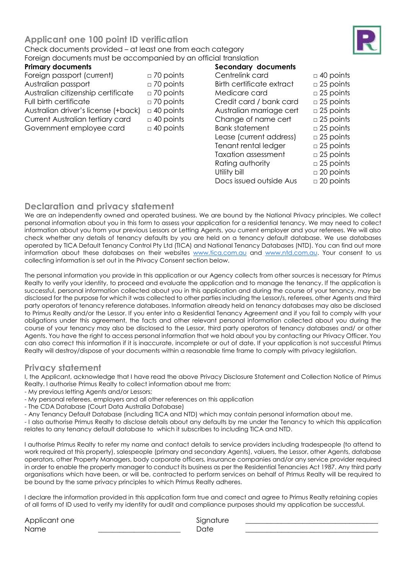#### **Primary documents**

Foreign passport (current) □ 70 points Australian passport □ 70 points Australian citizenship certificate □ 70 points Full birth certificate □ 70 points Australian driver's license  $(+)$ ack)  $□$  40 points Current Australian tertiary card □ 40 points Government employee card  $\Box$  40 points

| Secondary documents              |                     |
|----------------------------------|---------------------|
| Centrelink card                  | $\Box$ 40 points    |
| <b>Birth certificate extract</b> | $\Box$ 25 points    |
| Medicare card                    | $\Box$ 25 points    |
| Credit card / bank card          | $\Box$ 25 points    |
| Australian marriage cert         | $\Box$ 25 points    |
| Change of name cert              | $\Box$ 25 points    |
| <b>Bank statement</b>            | $\Box$ 25 points    |
| Lease (current address)          | $\Box$ 25 points    |
| Tenant rental ledger             | $\Box$ 25 points    |
| Taxation assessment              | $\Box$ 25 points    |
| Rating authority                 | $\Box$ 25 points    |
| Utility bill                     | $\square$ 20 points |
| Docs issued outside Aus          | $\square$ 20 points |
|                                  |                     |

### **Declaration and privacy statement**

We are an independently owned and operated business. We are bound by the National Privacy principles. We collect personal information about you in this form to assess your application for a residential tenancy. We may need to collect information about you from your previous Lessors or Letting Agents, you current employer and your referees. We will also check whether any details of tenancy defaults by you are held on a tenancy default database. We use databases operated by TICA Default Tenancy Control Pty Ltd (TICA) and National Tenancy Databases (NTD). You can find out more information about these databases on their websites [www.tica.com.au](http://www.tica.com.au/) and [www.ntd.com.au.](http://www.ntd.com.au/) Your consent to us collecting information is set out in the Privacy Consent section below.

The personal information you provide in this application or our Agency collects from other sources is necessary for Primus Realty to verify your identity, to proceed and evaluate the application and to manage the tenancy. If the application is successful, personal information collected about you in this application and during the course of your tenancy, may be disclosed for the purpose for which it was collected to other parties including the Lessor/s, referees, other Agents and third party operators of tenancy reference databases. Information already held on tenancy databases may also be disclosed to Primus Realty and/or the Lessor. If you enter into a Residential Tenancy Agreement and if you fail to comply with your obligations under this agreement, the facts and other relevant personal information collected about you during the course of your tenancy may also be disclosed to the Lessor, third party operators of tenancy databases and/ or other Agents. You have the right to access personal information that we hold about you by contacting our Privacy Officer. You can also correct this information if it is inaccurate, incomplete or out of date. If your application is not successful Primus Realty will destroy/dispose of your documents within a reasonable time frame to comply with privacy legislation.

### **Privacy statement**

I, the Applicant, acknowledge that I have read the above Privacy Disclosure Statement and Collection Notice of Primus Realty. I authorise Primus Realty to collect information about me from:

- My previous letting Agents and/or Lessors;
- My personal referees, employers and all other references on this application
- The CDA Database (Court Data Australia Database)
- Any Tenancy Default Database (including TICA and NTD) which may contain personal information about me.

- I also authorise Primus Realty to disclose details about any defaults by me under the Tenancy to which this application relates to any tenancy default database to which it subscribes to including TICA and NTD.

I authorise Primus Realty to refer my name and contact details to service providers including tradespeople (to attend to work required at this property), salespeople (primary and secondary Agents), valuers, the Lessor, other Agents, database operators, other Property Managers, body corporate officers, insurance companies and/or any service provider required in order to enable the property manager to conduct its business as per the Residential Tenancies Act 1987. Any third party organisations which have been, or will be, contracted to perform services on behalf of Primus Realty will be required to be bound by the same privacy principles to which Primus Realty adheres.

I declare the information provided in this application form true and correct and agree to Primus Realty retaining copies of all forms of ID used to verify my identity for audit and compliance purposes should my application be successful.

Applicant one Signature Name \_\_\_\_\_\_\_\_\_\_\_\_\_\_\_\_\_\_\_\_\_\_\_ Date \_\_\_\_\_\_\_\_\_\_\_\_\_\_\_\_\_\_\_\_\_\_\_\_\_\_\_\_\_\_\_\_\_\_\_\_\_

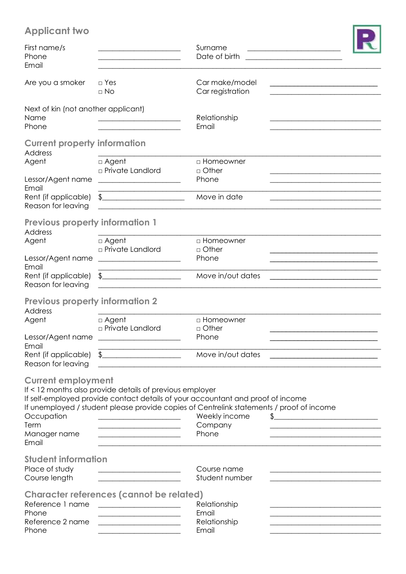# **Applicant two**

| <b>Applicant two</b>                                                     |                                                                                                                                                                                                                                                                                                                             |                                                                                                                                                                                                                                   |
|--------------------------------------------------------------------------|-----------------------------------------------------------------------------------------------------------------------------------------------------------------------------------------------------------------------------------------------------------------------------------------------------------------------------|-----------------------------------------------------------------------------------------------------------------------------------------------------------------------------------------------------------------------------------|
| First name/s<br>Phone<br>Email                                           |                                                                                                                                                                                                                                                                                                                             | Surname<br>Date of birth                                                                                                                                                                                                          |
| Are you a smoker                                                         | $\Box$ Yes<br>$\Box$ No                                                                                                                                                                                                                                                                                                     | Car make/model<br>Car registration                                                                                                                                                                                                |
| Next of kin (not another applicant)<br>Name<br>Phone                     |                                                                                                                                                                                                                                                                                                                             | Relationship<br>Email                                                                                                                                                                                                             |
| <b>Current property information</b><br><b>Address</b>                    |                                                                                                                                                                                                                                                                                                                             |                                                                                                                                                                                                                                   |
| Agent<br>Lessor/Agent name<br>Email                                      | $\Box$ Agent<br><b>p</b> Private Landlord                                                                                                                                                                                                                                                                                   | $\Box$ Homeowner<br>$\Box$ Other<br>Phone                                                                                                                                                                                         |
| Rent (if applicable)<br>Reason for leaving                               | $\begin{array}{c} \updownarrow \\ \downarrow \end{array}$                                                                                                                                                                                                                                                                   | Move in date                                                                                                                                                                                                                      |
| <b>Previous property information 1</b><br>Address<br>Agent               | $\Box$ Agent                                                                                                                                                                                                                                                                                                                | □ Homeowner                                                                                                                                                                                                                       |
| Lessor/Agent name<br>Email                                               | □ Private Landlord                                                                                                                                                                                                                                                                                                          | $\Box$ Other<br>Phone                                                                                                                                                                                                             |
| Rent (if applicable)<br>Reason for leaving                               | <u> 1989 - Johann Barbara, martxa alemaniar a</u><br>$\frac{1}{2}$                                                                                                                                                                                                                                                          | Move in/out dates                                                                                                                                                                                                                 |
| <b>Previous property information 2</b><br><b>Address</b>                 |                                                                                                                                                                                                                                                                                                                             |                                                                                                                                                                                                                                   |
| Agent                                                                    | $\Box$ Agent<br><b>p</b> Private Landlord<br>Lessor/Agent name _____________________                                                                                                                                                                                                                                        | □ Homeowner<br>$\Box$ Other<br>Phone                                                                                                                                                                                              |
| Email<br>Rent (if applicable)<br>Reason for leaving                      | $\begin{tabular}{c} \hline \end{tabular}$                                                                                                                                                                                                                                                                                   | Move in/out dates                                                                                                                                                                                                                 |
| <b>Current employment</b><br>Occupation<br>Term<br>Manager name<br>Email | If < 12 months also provide details of previous employer<br><u> La Carlo Carlo Carlo Carlo Carlo Carlo Carlo Carlo Carlo Carlo Carlo Carlo Carlo Carlo Carlo Carlo Carlo Car</u><br><u> 1980 - Johann John Stone, mensk politik (d. 1980)</u><br>the control of the control of the control of the control of the control of | If self-employed provide contact details of your accountant and proof of income<br>If unemployed / student please provide copies of Centrelink statements / proof of income<br>Weekly income<br>$\frac{1}{2}$<br>Company<br>Phone |
| <b>Student information</b><br>Place of study<br>Course length            | <u> 1989 - Jan Sterlinger, skriuwer fan it ferskearre fan it ferskearre fan it ferskearre fan it ferskearre fan i</u>                                                                                                                                                                                                       | Course name<br>Student number                                                                                                                                                                                                     |
| Reference 1 name<br>Phone<br>Reference 2 name<br>Phone                   | <b>Character references (cannot be related)</b><br><u> 1989 - Johann Barbara, martxa alemaniar a</u><br><u> 1990 - Johann Barbara, martin amerikan per</u>                                                                                                                                                                  | Relationship<br>Email<br>Relationship<br>Email                                                                                                                                                                                    |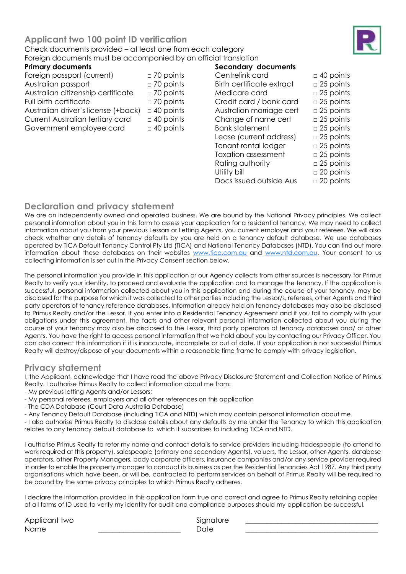#### **Primary documents**

Foreign passport (current) □ 70 points Australian passport □ 70 points Australian citizenship certificate □ 70 points Full birth certificate □ 70 points Australian driver's license  $(+)$ ack)  $□$  40 points Current Australian tertiary card □ 40 points Government employee card  $\Box$  40 points

| <b>Secondary documents</b>       |                  |
|----------------------------------|------------------|
| Centrelink card                  | $\Box$ 40 points |
| <b>Birth certificate extract</b> | $\Box$ 25 points |
| Medicare card                    | $\Box$ 25 points |
| Credit card / bank card          | $\Box$ 25 points |
| Australian marriage cert         | $\Box$ 25 points |
| Change of name cert              | $\Box$ 25 points |
| <b>Bank statement</b>            | $\Box$ 25 points |
| Lease (current address)          | $\Box$ 25 points |
| Tenant rental ledger             | $\Box$ 25 points |
| <b>Taxation assessment</b>       | $\Box$ 25 points |
| Rating authority                 | $\Box$ 25 points |
| Utility bill                     | $\Box$ 20 points |
| Docs issued outside Aus          | $\Box$ 20 points |
|                                  |                  |

### **Declaration and privacy statement**

We are an independently owned and operated business. We are bound by the National Privacy principles. We collect personal information about you in this form to assess your application for a residential tenancy. We may need to collect information about you from your previous Lessors or Letting Agents, you current employer and your referees. We will also check whether any details of tenancy defaults by you are held on a tenancy default database. We use databases operated by TICA Default Tenancy Control Pty Ltd (TICA) and National Tenancy Databases (NTD). You can find out more information about these databases on their websites [www.tica.com.au](http://www.tica.com.au/) and [www.ntd.com.au.](http://www.ntd.com.au/) Your consent to us collecting information is set out in the Privacy Consent section below.

The personal information you provide in this application or our Agency collects from other sources is necessary for Primus Realty to verify your identity, to proceed and evaluate the application and to manage the tenancy. If the application is successful, personal information collected about you in this application and during the course of your tenancy, may be disclosed for the purpose for which it was collected to other parties including the Lessor/s, referees, other Agents and third party operators of tenancy reference databases. Information already held on tenancy databases may also be disclosed to Primus Realty and/or the Lessor. If you enter into a Residential Tenancy Agreement and if you fail to comply with your obligations under this agreement, the facts and other relevant personal information collected about you during the course of your tenancy may also be disclosed to the Lessor, third party operators of tenancy databases and/ or other Agents. You have the right to access personal information that we hold about you by contacting our Privacy Officer. You can also correct this information if it is inaccurate, incomplete or out of date. If your application is not successful Primus Realty will destroy/dispose of your documents within a reasonable time frame to comply with privacy legislation.

### **Privacy statement**

I, the Applicant, acknowledge that I have read the above Privacy Disclosure Statement and Collection Notice of Primus Realty. I authorise Primus Realty to collect information about me from:

- My previous letting Agents and/or Lessors;
- My personal referees, employers and all other references on this application
- The CDA Database (Court Data Australia Database)
- Any Tenancy Default Database (including TICA and NTD) which may contain personal information about me.

- I also authorise Primus Realty to disclose details about any defaults by me under the Tenancy to which this application relates to any tenancy default database to which it subscribes to including TICA and NTD.

I authorise Primus Realty to refer my name and contact details to service providers including tradespeople (to attend to work required at this property), salespeople (primary and secondary Agents), valuers, the Lessor, other Agents, database operators, other Property Managers, body corporate officers, insurance companies and/or any service provider required in order to enable the property manager to conduct its business as per the Residential Tenancies Act 1987. Any third party organisations which have been, or will be, contracted to perform services on behalf of Primus Realty will be required to be bound by the same privacy principles to which Primus Realty adheres.

I declare the information provided in this application form true and correct and agree to Primus Realty retaining copies of all forms of ID used to verify my identity for audit and compliance purposes should my application be successful.

Applicant two Signature and Signature Name \_\_\_\_\_\_\_\_\_\_\_\_\_\_\_\_\_\_\_\_\_\_\_ Date \_\_\_\_\_\_\_\_\_\_\_\_\_\_\_\_\_\_\_\_\_\_\_\_\_\_\_\_\_\_\_\_\_\_\_\_\_

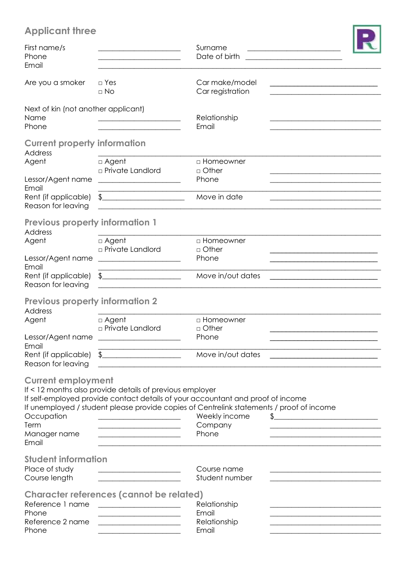# **Applicant three**

| <b>Applicant three</b>                                                   |                                                                                                                                                                                  |                                                                                                                                                                                                                  |                                                                                                                                                                                                                                                                                                                     |
|--------------------------------------------------------------------------|----------------------------------------------------------------------------------------------------------------------------------------------------------------------------------|------------------------------------------------------------------------------------------------------------------------------------------------------------------------------------------------------------------|---------------------------------------------------------------------------------------------------------------------------------------------------------------------------------------------------------------------------------------------------------------------------------------------------------------------|
| First name/s<br>Phone<br>Email                                           |                                                                                                                                                                                  | Surname<br>Date of birth                                                                                                                                                                                         |                                                                                                                                                                                                                                                                                                                     |
| Are you a smoker                                                         | $\Box$ Yes<br>$\Box$ No                                                                                                                                                          | Car make/model<br>Car registration                                                                                                                                                                               |                                                                                                                                                                                                                                                                                                                     |
| Next of kin (not another applicant)<br>Name<br>Phone                     |                                                                                                                                                                                  | Relationship<br>Email                                                                                                                                                                                            |                                                                                                                                                                                                                                                                                                                     |
| <b>Current property information</b><br><b>Address</b><br>Agent           | $\Box$ Agent                                                                                                                                                                     | □ Homeowner                                                                                                                                                                                                      |                                                                                                                                                                                                                                                                                                                     |
| Lessor/Agent name<br>Email                                               | □ Private Landlord                                                                                                                                                               | $\Box$ Other<br>Phone                                                                                                                                                                                            |                                                                                                                                                                                                                                                                                                                     |
| Rent (if applicable)<br>Reason for leaving                               | $\frac{1}{2}$                                                                                                                                                                    | Move in date                                                                                                                                                                                                     |                                                                                                                                                                                                                                                                                                                     |
| <b>Previous property information 1</b><br>Address                        |                                                                                                                                                                                  |                                                                                                                                                                                                                  |                                                                                                                                                                                                                                                                                                                     |
| Agent<br>Lessor/Agent name                                               | $\Box$ Agent<br>□ Private Landlord<br><u> 1989 - Johann Barbara, martin amerikan basal dan berasal dalam basal dalam basal dalam basal dalam basal dala</u>                      | □ Homeowner<br>$\Box$ Other<br>Phone                                                                                                                                                                             |                                                                                                                                                                                                                                                                                                                     |
| Email<br>Rent (if applicable)<br>Reason for leaving                      | $\frac{1}{2}$<br>the control of the control of the control of the control of the control of                                                                                      | Move in/out dates                                                                                                                                                                                                |                                                                                                                                                                                                                                                                                                                     |
| <b>Previous property information 2</b><br><b>Address</b>                 |                                                                                                                                                                                  |                                                                                                                                                                                                                  |                                                                                                                                                                                                                                                                                                                     |
| Agent<br>Lessor/Agent name                                               | $\Box$ Agent<br>$\Box$ Private Landlord<br><u> The Communication of the Communication of</u>                                                                                     | □ Homeowner<br>$\Box$ Other<br>Phone                                                                                                                                                                             |                                                                                                                                                                                                                                                                                                                     |
| Email<br>Rent (if applicable)<br>Reason for leaving                      | <u> 1989 - Johann John Stone, mensk politik (d. 1989)</u><br>$\oint$                                                                                                             | Move in/out dates                                                                                                                                                                                                |                                                                                                                                                                                                                                                                                                                     |
| <b>Current employment</b><br>Occupation<br>Term<br>Manager name<br>Email | If < 12 months also provide details of previous employer<br><u> 2000 - Jan James James Jan James James James James James James James James James James James James James Jam</u> | If self-employed provide contact details of your accountant and proof of income<br>If unemployed / student please provide copies of Centrelink statements / proof of income<br>Weekly income<br>Company<br>Phone | $\frac{1}{2}$ $\frac{1}{2}$ $\frac{1}{2}$ $\frac{1}{2}$ $\frac{1}{2}$ $\frac{1}{2}$ $\frac{1}{2}$ $\frac{1}{2}$ $\frac{1}{2}$ $\frac{1}{2}$ $\frac{1}{2}$ $\frac{1}{2}$ $\frac{1}{2}$ $\frac{1}{2}$ $\frac{1}{2}$ $\frac{1}{2}$ $\frac{1}{2}$ $\frac{1}{2}$ $\frac{1}{2}$ $\frac{1}{2}$ $\frac{1}{2}$ $\frac{1}{2}$ |
| <b>Student information</b><br>Place of study<br>Course length            |                                                                                                                                                                                  | Course name<br>Student number                                                                                                                                                                                    |                                                                                                                                                                                                                                                                                                                     |
| Reference 1 name<br>Phone<br>Reference 2 name<br>Phone                   | <b>Character references (cannot be related)</b><br><u> 1989 - Johann Barbara, martxa al III-lea (h. 1989).</u>                                                                   | Relationship<br>Email<br>Relationship<br>Email                                                                                                                                                                   |                                                                                                                                                                                                                                                                                                                     |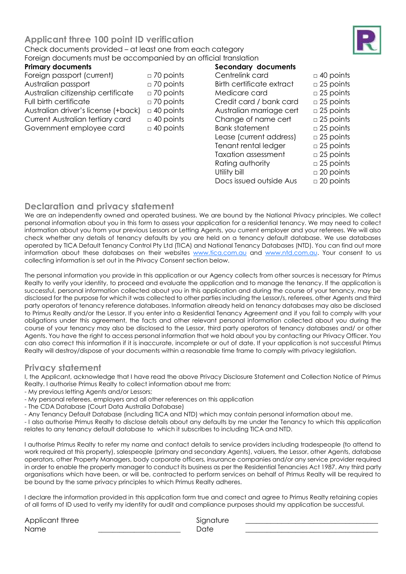

#### **Primary documents**

Foreign passport (current) □ 70 points Australian passport □ 70 points Australian citizenship certificate □ 70 points Full birth certificate □ 70 points Australian driver's license  $(+)$ ack)  $□$  40 points Current Australian tertiary card □ 40 points Government employee card  $\Box$  40 points

| Secondary documents        |                  |
|----------------------------|------------------|
| Centrelink card            | $\Box$ 40 points |
| Birth certificate extract  | $\Box$ 25 points |
| Medicare card              | $\Box$ 25 points |
| Credit card / bank card    | $\Box$ 25 points |
| Australian marriage cert   | $\Box$ 25 points |
| Change of name cert        | $\Box$ 25 points |
| <b>Bank statement</b>      | $\Box$ 25 points |
| Lease (current address)    | $\Box$ 25 points |
| Tenant rental ledger       | $\Box$ 25 points |
| <b>Taxation assessment</b> | $\Box$ 25 points |
| Rating authority           | $\Box$ 25 points |
| Utility bill               | $\Box$ 20 points |
| Docs issued outside Aus    | $\Box$ 20 points |
|                            |                  |

### **Declaration and privacy statement**

We are an independently owned and operated business. We are bound by the National Privacy principles. We collect personal information about you in this form to assess your application for a residential tenancy. We may need to collect information about you from your previous Lessors or Letting Agents, you current employer and your referees. We will also check whether any details of tenancy defaults by you are held on a tenancy default database. We use databases operated by TICA Default Tenancy Control Pty Ltd (TICA) and National Tenancy Databases (NTD). You can find out more information about these databases on their websites [www.tica.com.au](http://www.tica.com.au/) and [www.ntd.com.au.](http://www.ntd.com.au/) Your consent to us collecting information is set out in the Privacy Consent section below.

The personal information you provide in this application or our Agency collects from other sources is necessary for Primus Realty to verify your identity, to proceed and evaluate the application and to manage the tenancy. If the application is successful, personal information collected about you in this application and during the course of your tenancy, may be disclosed for the purpose for which it was collected to other parties including the Lessor/s, referees, other Agents and third party operators of tenancy reference databases. Information already held on tenancy databases may also be disclosed to Primus Realty and/or the Lessor. If you enter into a Residential Tenancy Agreement and if you fail to comply with your obligations under this agreement, the facts and other relevant personal information collected about you during the course of your tenancy may also be disclosed to the Lessor, third party operators of tenancy databases and/ or other Agents. You have the right to access personal information that we hold about you by contacting our Privacy Officer. You can also correct this information if it is inaccurate, incomplete or out of date. If your application is not successful Primus Realty will destroy/dispose of your documents within a reasonable time frame to comply with privacy legislation.

### **Privacy statement**

I, the Applicant, acknowledge that I have read the above Privacy Disclosure Statement and Collection Notice of Primus Realty. I authorise Primus Realty to collect information about me from:

- My previous letting Agents and/or Lessors;
- My personal referees, employers and all other references on this application
- The CDA Database (Court Data Australia Database)
- Any Tenancy Default Database (including TICA and NTD) which may contain personal information about me.

- I also authorise Primus Realty to disclose details about any defaults by me under the Tenancy to which this application relates to any tenancy default database to which it subscribes to including TICA and NTD.

I authorise Primus Realty to refer my name and contact details to service providers including tradespeople (to attend to work required at this property), salespeople (primary and secondary Agents), valuers, the Lessor, other Agents, database operators, other Property Managers, body corporate officers, insurance companies and/or any service provider required in order to enable the property manager to conduct its business as per the Residential Tenancies Act 1987. Any third party organisations which have been, or will be, contracted to perform services on behalf of Primus Realty will be required to be bound by the same privacy principles to which Primus Realty adheres.

I declare the information provided in this application form true and correct and agree to Primus Realty retaining copies of all forms of ID used to verify my identity for audit and compliance purposes should my application be successful.

Applicant three Signature Name \_\_\_\_\_\_\_\_\_\_\_\_\_\_\_\_\_\_\_\_\_\_\_ Date \_\_\_\_\_\_\_\_\_\_\_\_\_\_\_\_\_\_\_\_\_\_\_\_\_\_\_\_\_\_\_\_\_\_\_\_\_